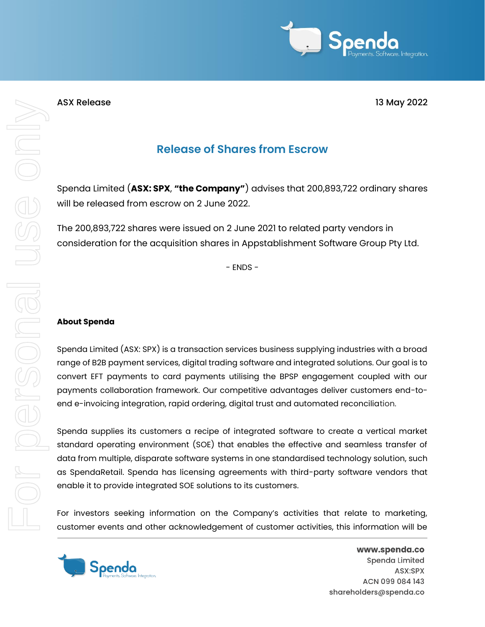

## ASX Release 13 May 2022

## **Release of Shares from Escrow**

Spenda Limited (**ASX: SPX**, **"the Company"**) advises that 200,893,722 ordinary shares will be released from escrow on 2 June 2022.

The 200,893,722 shares were issued on 2 June 2021 to related party vendors in consideration for the acquisition shares in Appstablishment Software Group Pty Ltd.

- ENDS -

## **About Spenda**

Spenda Limited (ASX: SPX) is a transaction services business supplying industries with a broad range of B2B payment services, digital trading software and integrated solutions. Our goal is to convert EFT payments to card payments utilising the BPSP engagement coupled with our payments collaboration framework. Our competitive advantages deliver customers end-toend e-invoicing integration, rapid ordering, digital trust and automated reconciliation.

Spenda supplies its customers a recipe of integrated software to create a vertical market standard operating environment (SOE) that enables the effective and seamless transfer of data from multiple, disparate software systems in one standardised technology solution, such as SpendaRetail. Spenda has licensing agreements with third-party software vendors that enable it to provide integrated SOE solutions to its customers.

For investors seeking information on the Company's activities that relate to marketing, customer events and other acknowledgement of customer activities, this information will be



www.spenda.co Spenda Limited ASX:SPX ACN 099 084 143 shareholders@spenda.co